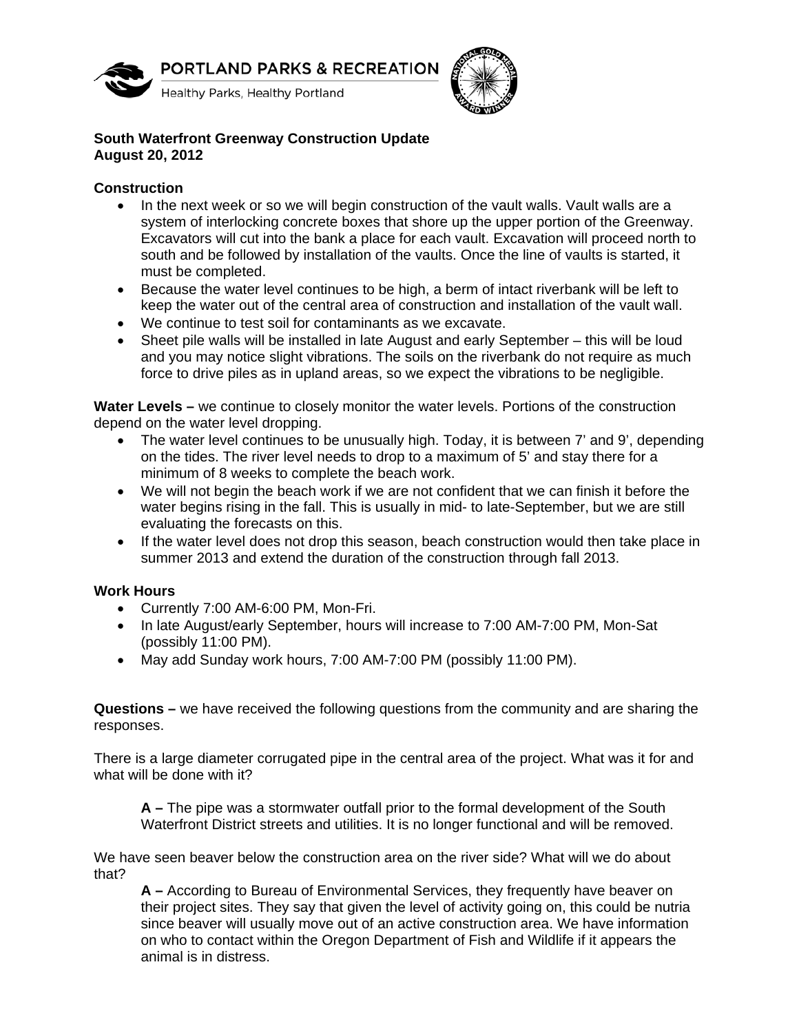



## **South Waterfront Greenway Construction Update August 20, 2012**

## **Construction**

- In the next week or so we will begin construction of the vault walls. Vault walls are a system of interlocking concrete boxes that shore up the upper portion of the Greenway. Excavators will cut into the bank a place for each vault. Excavation will proceed north to south and be followed by installation of the vaults. Once the line of vaults is started, it must be completed.
- Because the water level continues to be high, a berm of intact riverbank will be left to keep the water out of the central area of construction and installation of the vault wall.
- We continue to test soil for contaminants as we excavate.
- Sheet pile walls will be installed in late August and early September this will be loud and you may notice slight vibrations. The soils on the riverbank do not require as much force to drive piles as in upland areas, so we expect the vibrations to be negligible.

**Water Levels –** we continue to closely monitor the water levels. Portions of the construction depend on the water level dropping.

- The water level continues to be unusually high. Today, it is between 7' and 9', depending on the tides. The river level needs to drop to a maximum of 5' and stay there for a minimum of 8 weeks to complete the beach work.
- We will not begin the beach work if we are not confident that we can finish it before the water begins rising in the fall. This is usually in mid- to late-September, but we are still evaluating the forecasts on this.
- If the water level does not drop this season, beach construction would then take place in summer 2013 and extend the duration of the construction through fall 2013.

## **Work Hours**

- Currently 7:00 AM-6:00 PM, Mon-Fri.
- In late August/early September, hours will increase to 7:00 AM-7:00 PM, Mon-Sat (possibly 11:00 PM).
- May add Sunday work hours, 7:00 AM-7:00 PM (possibly 11:00 PM).

**Questions –** we have received the following questions from the community and are sharing the responses.

There is a large diameter corrugated pipe in the central area of the project. What was it for and what will be done with it?

**A –** The pipe was a stormwater outfall prior to the formal development of the South Waterfront District streets and utilities. It is no longer functional and will be removed.

We have seen beaver below the construction area on the river side? What will we do about that?

**A –** According to Bureau of Environmental Services, they frequently have beaver on their project sites. They say that given the level of activity going on, this could be nutria since beaver will usually move out of an active construction area. We have information on who to contact within the Oregon Department of Fish and Wildlife if it appears the animal is in distress.